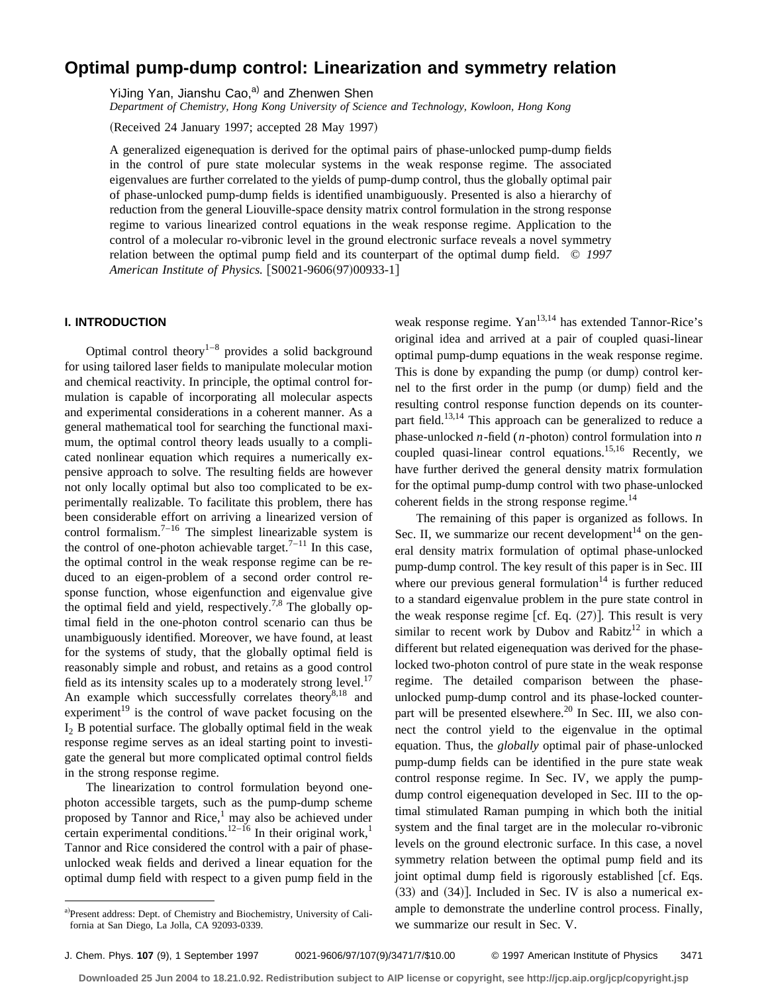# **Optimal pump-dump control: Linearization and symmetry relation**

YiJing Yan, Jianshu Cao,<sup>a)</sup> and Zhenwen Shen

*Department of Chemistry, Hong Kong University of Science and Technology, Kowloon, Hong Kong*

(Received 24 January 1997; accepted 28 May 1997)

A generalized eigenequation is derived for the optimal pairs of phase-unlocked pump-dump fields in the control of pure state molecular systems in the weak response regime. The associated eigenvalues are further correlated to the yields of pump-dump control, thus the globally optimal pair of phase-unlocked pump-dump fields is identified unambiguously. Presented is also a hierarchy of reduction from the general Liouville-space density matrix control formulation in the strong response regime to various linearized control equations in the weak response regime. Application to the control of a molecular ro-vibronic level in the ground electronic surface reveals a novel symmetry relation between the optimal pump field and its counterpart of the optimal dump field. © *1997 American Institute of Physics.* [S0021-9606(97)00933-1]

# **I. INTRODUCTION**

Optimal control theory $1-8$  provides a solid background for using tailored laser fields to manipulate molecular motion and chemical reactivity. In principle, the optimal control formulation is capable of incorporating all molecular aspects and experimental considerations in a coherent manner. As a general mathematical tool for searching the functional maximum, the optimal control theory leads usually to a complicated nonlinear equation which requires a numerically expensive approach to solve. The resulting fields are however not only locally optimal but also too complicated to be experimentally realizable. To facilitate this problem, there has been considerable effort on arriving a linearized version of control formalism. $7-16$  The simplest linearizable system is the control of one-photon achievable target.<sup>7–11</sup> In this case, the optimal control in the weak response regime can be reduced to an eigen-problem of a second order control response function, whose eigenfunction and eigenvalue give the optimal field and yield, respectively.<sup>7,8</sup> The globally optimal field in the one-photon control scenario can thus be unambiguously identified. Moreover, we have found, at least for the systems of study, that the globally optimal field is reasonably simple and robust, and retains as a good control field as its intensity scales up to a moderately strong level.<sup>17</sup> An example which successfully correlates theory $^{8,18}$  and experiment<sup>19</sup> is the control of wave packet focusing on the  $I_2$  B potential surface. The globally optimal field in the weak response regime serves as an ideal starting point to investigate the general but more complicated optimal control fields in the strong response regime.

The linearization to control formulation beyond onephoton accessible targets, such as the pump-dump scheme proposed by Tannor and Rice,<sup>1</sup> may also be achieved under certain experimental conditions.<sup>12–16</sup> In their original work,<sup>1</sup> Tannor and Rice considered the control with a pair of phaseunlocked weak fields and derived a linear equation for the optimal dump field with respect to a given pump field in the weak response regime. Yan<sup>13,14</sup> has extended Tannor-Rice's original idea and arrived at a pair of coupled quasi-linear optimal pump-dump equations in the weak response regime. This is done by expanding the pump (or dump) control kernel to the first order in the pump (or dump) field and the resulting control response function depends on its counterpart field.<sup>13,14</sup> This approach can be generalized to reduce a phase-unlocked  $n$ -field ( $n$ -photon) control formulation into  $n$ coupled quasi-linear control equations.15,16 Recently, we have further derived the general density matrix formulation for the optimal pump-dump control with two phase-unlocked coherent fields in the strong response regime.<sup>14</sup>

The remaining of this paper is organized as follows. In Sec. II, we summarize our recent development<sup>14</sup> on the general density matrix formulation of optimal phase-unlocked pump-dump control. The key result of this paper is in Sec. III where our previous general formulation<sup>14</sup> is further reduced to a standard eigenvalue problem in the pure state control in the weak response regime [cf. Eq.  $(27)$ ]. This result is very similar to recent work by Dubov and Rabitz<sup>12</sup> in which a different but related eigenequation was derived for the phaselocked two-photon control of pure state in the weak response regime. The detailed comparison between the phaseunlocked pump-dump control and its phase-locked counterpart will be presented elsewhere.<sup>20</sup> In Sec. III, we also connect the control yield to the eigenvalue in the optimal equation. Thus, the *globally* optimal pair of phase-unlocked pump-dump fields can be identified in the pure state weak control response regime. In Sec. IV, we apply the pumpdump control eigenequation developed in Sec. III to the optimal stimulated Raman pumping in which both the initial system and the final target are in the molecular ro-vibronic levels on the ground electronic surface. In this case, a novel symmetry relation between the optimal pump field and its joint optimal dump field is rigorously established [cf. Eqs.  $(33)$  and  $(34)$ ]. Included in Sec. IV is also a numerical example to demonstrate the underline control process. Finally, we summarize our result in Sec. V.

a)Present address: Dept. of Chemistry and Biochemistry, University of California at San Diego, La Jolla, CA 92093-0339.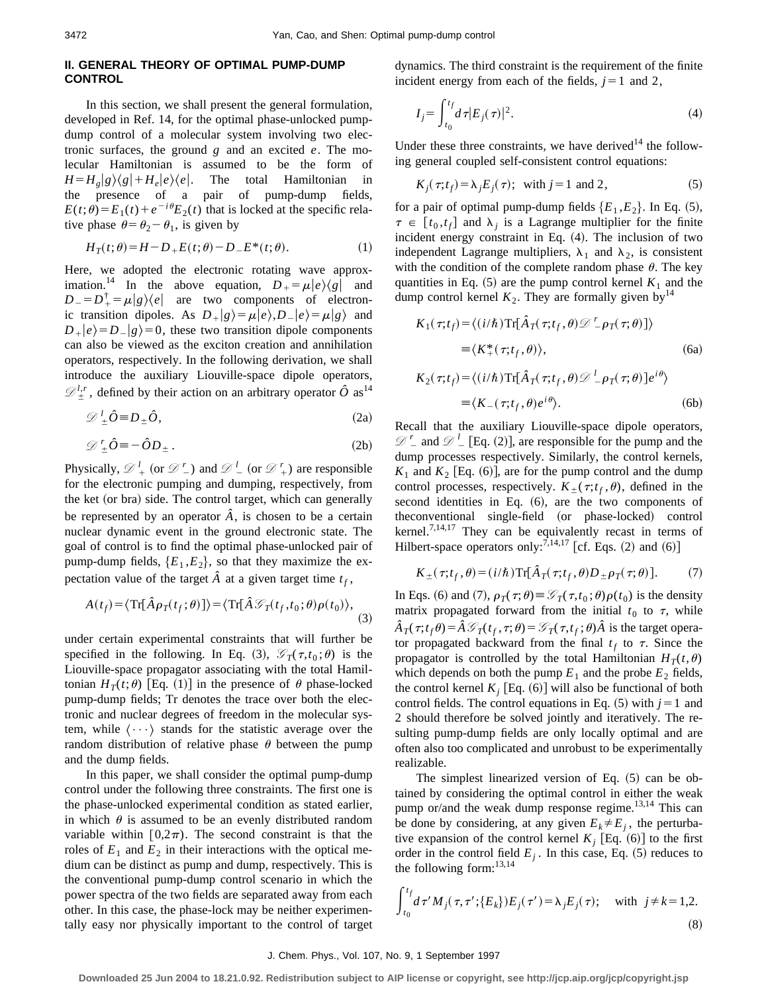# **II. GENERAL THEORY OF OPTIMAL PUMP-DUMP CONTROL**

In this section, we shall present the general formulation, developed in Ref. 14, for the optimal phase-unlocked pumpdump control of a molecular system involving two electronic surfaces, the ground *g* and an excited *e*. The molecular Hamiltonian is assumed to be the form of  $H = H_e|g\rangle\langle g| + H_e|e\rangle\langle e|$ . The total Hamiltonian in the presence of a pair of pump-dump fields,  $E(t;\theta)=E_1(t)+e^{-i\theta}E_2(t)$  that is locked at the specific relative phase  $\theta = \theta_2 - \theta_1$ , is given by

$$
H_T(t; \theta) = H - D_+ E(t; \theta) - D_- E^*(t; \theta).
$$
 (1)

Here, we adopted the electronic rotating wave approximation.<sup>14</sup> In the above equation,  $D_{+} = \mu |e\rangle\langle g|$  and  $D_{-} = D_{+}^{\dagger} = \mu |g\rangle\langle e|$  are two components of electronic transition dipoles. As  $D_+|g\rangle = \mu|e\rangle, D_-|e\rangle = \mu|g\rangle$  and  $D_{+}|e\rangle = D_{-}|g\rangle = 0$ , these two transition dipole components can also be viewed as the exciton creation and annihilation operators, respectively. In the following derivation, we shall introduce the auxiliary Liouville-space dipole operators,  $\mathcal{D}_{\pm}^{l,r}$ , defined by their action on an arbitrary operator  $\hat{O}$  as<sup>14</sup>

$$
\mathscr{D}_{\pm}^{l} \hat{O} \equiv D_{\pm} \hat{O}, \tag{2a}
$$

$$
\mathcal{D}'_{\pm}\hat{O} \equiv -\hat{O}D_{\pm}.
$$
 (2b)

Physically,  $\mathscr{D}_{+}^{l}$  (or  $\mathscr{D}_{-}^{r}$ ) and  $\mathscr{D}_{-}^{l}$  (or  $\mathscr{D}_{+}^{r}$ ) are responsible for the electronic pumping and dumping, respectively, from the ket (or bra) side. The control target, which can generally be represented by an operator  $\hat{A}$ , is chosen to be a certain nuclear dynamic event in the ground electronic state. The goal of control is to find the optimal phase-unlocked pair of pump-dump fields,  ${E_1, E_2}$ , so that they maximize the expectation value of the target  $\hat{A}$  at a given target time  $t_f$ ,

$$
A(t_f) = \langle \operatorname{Tr}[\hat{A}\rho_T(t_f;\theta)] \rangle = \langle \operatorname{Tr}[\hat{A}\mathcal{G}_T(t_f,t_0;\theta)\rho(t_0) \rangle, \tag{3}
$$

under certain experimental constraints that will further be specified in the following. In Eq. (3),  $\mathcal{G}_T(\tau, t_0; \theta)$  is the Liouville-space propagator associating with the total Hamiltonian  $H_T(t;\theta)$  [Eq. (1)] in the presence of  $\theta$  phase-locked pump-dump fields; Tr denotes the trace over both the electronic and nuclear degrees of freedom in the molecular system, while  $\langle \cdots \rangle$  stands for the statistic average over the random distribution of relative phase  $\theta$  between the pump and the dump fields.

In this paper, we shall consider the optimal pump-dump control under the following three constraints. The first one is the phase-unlocked experimental condition as stated earlier, in which  $\theta$  is assumed to be an evenly distributed random variable within  $[0,2\pi)$ . The second constraint is that the roles of  $E_1$  and  $E_2$  in their interactions with the optical medium can be distinct as pump and dump, respectively. This is the conventional pump-dump control scenario in which the power spectra of the two fields are separated away from each other. In this case, the phase-lock may be neither experimentally easy nor physically important to the control of target dynamics. The third constraint is the requirement of the finite incident energy from each of the fields,  $j=1$  and 2,

$$
I_j = \int_{t_0}^{t_f} d\tau |E_j(\tau)|^2.
$$
 (4)

Under these three constraints, we have derived<sup>14</sup> the following general coupled self-consistent control equations:

$$
K_j(\tau; t_f) = \lambda_j E_j(\tau); \text{ with } j = 1 \text{ and } 2,
$$
 (5)

for a pair of optimal pump-dump fields  ${E_1, E_2}$ . In Eq. (5),  $\tau \in [t_0, t_f]$  and  $\lambda_i$  is a Lagrange multiplier for the finite incident energy constraint in Eq.  $(4)$ . The inclusion of two independent Lagrange multipliers,  $\lambda_1$  and  $\lambda_2$ , is consistent with the condition of the complete random phase  $\theta$ . The key quantities in Eq.  $(5)$  are the pump control kernel  $K_1$  and the dump control kernel  $K_2$ . They are formally given by<sup>14</sup>

$$
K_1(\tau; t_f) = \langle (i/\hbar) \operatorname{Tr}[\hat{A}_T(\tau; t_f, \theta) \mathcal{D}^T \rho_T(\tau; \theta)] \rangle
$$
  
=  $\langle K_+^*(\tau; t_f, \theta) \rangle$ , (6a)

$$
K_2(\tau; t_f) = \langle (i/\hbar) \operatorname{Tr}[\hat{A}_T(\tau; t_f, \theta) \mathcal{D}^{\perp} \rho_T(\tau; \theta)] e^{i\theta} \rangle
$$
  
=  $\langle K_-(\tau; t_f, \theta) e^{i\theta} \rangle$ . (6b)

Recall that the auxiliary Liouville-space dipole operators,  $\mathscr{D}$   $\mathscr{D}$  and  $\mathscr{D}$   $\mathscr{D}$  [Eq. (2)], are responsible for the pump and the dump processes respectively. Similarly, the control kernels,  $K_1$  and  $K_2$  [Eq. (6)], are for the pump control and the dump control processes, respectively.  $K_+(\tau;t_f,\theta)$ , defined in the second identities in Eq.  $(6)$ , are the two components of theconventional single-field (or phase-locked) control kernel.<sup>7,14,17</sup> They can be equivalently recast in terms of Hilbert-space operators only:  $7,14,17$  [cf. Eqs. (2) and (6)]

$$
K_{\pm}(\tau;t_f,\theta) = (i/\hbar) \text{Tr}[\hat{A}_T(\tau;t_f,\theta)D_{\pm}\rho_T(\tau;\theta)].\tag{7}
$$

In Eqs. (6) and (7),  $\rho_T(\tau;\theta) \equiv \mathcal{G}_T(\tau,t_0;\theta)\rho(t_0)$  is the density matrix propagated forward from the initial  $t_0$  to  $\tau$ , while  $\hat{A}_T(\tau; t_f \theta) = \hat{A} \mathcal{G}_T(t_f, \tau; \theta) = \mathcal{G}_T(\tau; t_f; \theta) \hat{A}$  is the target operator propagated backward from the final  $t_f$  to  $\tau$ . Since the propagator is controlled by the total Hamiltonian  $H_T(t, \theta)$ which depends on both the pump  $E_1$  and the probe  $E_2$  fields, the control kernel  $K_i$  [Eq. (6)] will also be functional of both control fields. The control equations in Eq.  $(5)$  with  $j=1$  and 2 should therefore be solved jointly and iteratively. The resulting pump-dump fields are only locally optimal and are often also too complicated and unrobust to be experimentally realizable.

The simplest linearized version of Eq.  $(5)$  can be obtained by considering the optimal control in either the weak pump or/and the weak dump response regime.<sup>13,14</sup> This can be done by considering, at any given  $E_k \neq E_j$ , the perturbative expansion of the control kernel  $K_i$  [Eq.  $(6)$ ] to the first order in the control field  $E_i$ . In this case, Eq.  $(5)$  reduces to the following form:  $13,14$ 

$$
\int_{t_0}^{t_f} d\tau' M_j(\tau, \tau'; \{E_k\}) E_j(\tau') = \lambda_j E_j(\tau); \text{ with } j \neq k = 1, 2.
$$
\n(8)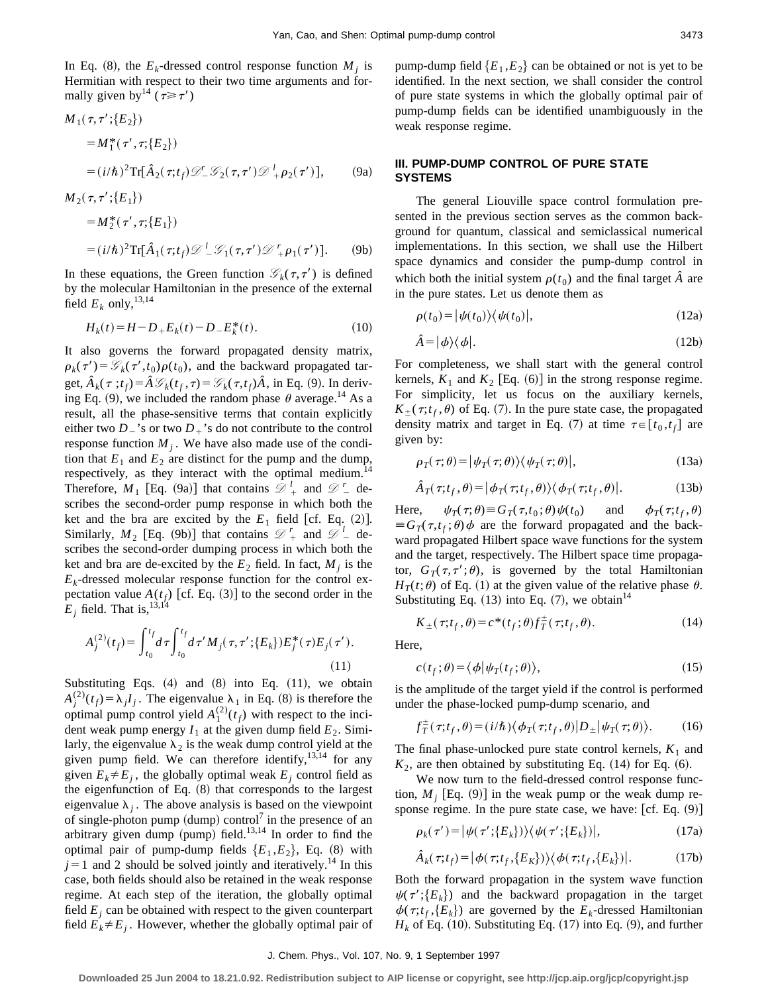In Eq. (8), the  $E_k$ -dressed control response function  $M_i$  is Hermitian with respect to their two time arguments and formally given by  $14 (\tau \geq \tau')$ 

$$
M_1(\tau, \tau'; \{E_2\})
$$
  
=  $M_1^*(\tau', \tau; \{E_2\})$   
=  $(i/\hbar)^2 \text{Tr}[\hat{A}_2(\tau; t_f) \mathcal{D}'_- \mathcal{G}_2(\tau, \tau') \mathcal{D}'_+ \rho_2(\tau')],$  (9a)

 $M_2(\tau, \tau'; \{E_1\})$ 

$$
= M_2^*(\tau', \tau; \{E_1\})
$$
  
=  $(i/\hbar)^2 \text{Tr}[\hat{A}_1(\tau; t_f) \mathcal{D}^L \mathcal{G}_1(\tau, \tau') \mathcal{D}^L + \rho_1(\tau')].$  (9b)

In these equations, the Green function  $\mathcal{G}_k(\tau,\tau')$  is defined by the molecular Hamiltonian in the presence of the external field  $E_k$  only,  $^{13,14}$ 

$$
H_k(t) = H - D_+ E_k(t) - D_- E_k^*(t). \tag{10}
$$

It also governs the forward propagated density matrix,  $\rho_k(\tau') = \mathcal{G}_k(\tau', t_0) \rho(t_0)$ , and the backward propagated target,  $\hat{A}_k(\tau; t_f) = \hat{A} \mathcal{G}_k(t_f, \tau) = \mathcal{G}_k(\tau, t_f) \hat{A}$ , in Eq. (9). In deriving Eq. (9), we included the random phase  $\theta$  average.<sup>14</sup> As a result, all the phase-sensitive terms that contain explicitly either two  $D_2$ 's or two  $D_+$ 's do not contribute to the control response function  $M_i$ . We have also made use of the condition that  $E_1$  and  $E_2$  are distinct for the pump and the dump, respectively, as they interact with the optimal medium.<sup>14</sup> Therefore,  $M_1$  [Eq. (9a)] that contains  $\mathcal{D}_+^l$  and  $\mathcal{D}_-^r$  describes the second-order pump response in which both the ket and the bra are excited by the  $E_1$  field [cf. Eq. (2)]. Similarly,  $M_2$  [Eq. (9b)] that contains  $\mathcal{D}'_+$  and  $\mathcal{D}'_-$  describes the second-order dumping process in which both the ket and bra are de-excited by the  $E_2$  field. In fact,  $M_i$  is the  $E_k$ -dressed molecular response function for the control expectation value  $A(t_f)$  [cf. Eq. (3)] to the second order in the  $E_j$  field. That is,  $13,14$ 

$$
A_j^{(2)}(t_f) = \int_{t_0}^{t_f} d\tau \int_{t_0}^{t_f} d\tau' M_j(\tau, \tau'; \{E_k\}) E_j^*(\tau) E_j(\tau').
$$
\n(11)

Substituting Eqs.  $(4)$  and  $(8)$  into Eq.  $(11)$ , we obtain  $A_j^{(2)}(t_f) = \lambda_j I_j$ . The eigenvalue  $\lambda_1$  in Eq. (8) is therefore the optimal pump control yield  $A_1^{(2)}(t_f)$  with respect to the incident weak pump energy  $I_1$  at the given dump field  $E_2$ . Similarly, the eigenvalue  $\lambda_2$  is the weak dump control yield at the given pump field. We can therefore identify,  $13,14$  for any given  $E_k \neq E_j$ , the globally optimal weak  $E_j$  control field as the eigenfunction of Eq.  $(8)$  that corresponds to the largest eigenvalue  $\lambda_i$ . The above analysis is based on the viewpoint of single-photon pump  ${\rm (dump)}$  control<sup>7</sup> in the presence of an arbitrary given dump  $(pump)$  field.<sup>13,14</sup> In order to find the optimal pair of pump-dump fields  ${E_1, E_2}$ , Eq. (8) with  $j=1$  and 2 should be solved jointly and iteratively.<sup>14</sup> In this case, both fields should also be retained in the weak response regime. At each step of the iteration, the globally optimal field  $E_i$  can be obtained with respect to the given counterpart field  $E_k \neq E_j$ . However, whether the globally optimal pair of pump-dump field  ${E_1, E_2}$  can be obtained or not is yet to be identified. In the next section, we shall consider the control of pure state systems in which the globally optimal pair of pump-dump fields can be identified unambiguously in the weak response regime.

## **III. PUMP-DUMP CONTROL OF PURE STATE SYSTEMS**

The general Liouville space control formulation presented in the previous section serves as the common background for quantum, classical and semiclassical numerical implementations. In this section, we shall use the Hilbert space dynamics and consider the pump-dump control in which both the initial system  $\rho(t_0)$  and the final target  $\hat{A}$  are in the pure states. Let us denote them as

$$
\rho(t_0) = |\psi(t_0)\rangle\langle\psi(t_0)|,\tag{12a}
$$

$$
\hat{A} = |\phi\rangle\langle\phi|.\tag{12b}
$$

For completeness, we shall start with the general control kernels,  $K_1$  and  $K_2$  [Eq. (6)] in the strong response regime. For simplicity, let us focus on the auxiliary kernels,  $K_+(\tau;t_f,\theta)$  of Eq. (7). In the pure state case, the propagated density matrix and target in Eq. (7) at time  $\tau \in [t_0, t_f]$  are given by:

$$
\rho_T(\tau;\theta) = |\psi_T(\tau;\theta)\rangle \langle \psi_T(\tau;\theta)|,\tag{13a}
$$

$$
\hat{A}_T(\tau; t_f, \theta) = |\phi_T(\tau; t_f, \theta)\rangle \langle \phi_T(\tau; t_f, \theta)|. \tag{13b}
$$

Here,  $\psi_T(\tau;\theta) \equiv G_T(\tau,t_0;\theta) \psi(t_0)$  and  $\phi_T(\tau;t_f,\theta)$  $\equiv G_T(\tau,t_f;\theta)\phi$  are the forward propagated and the backward propagated Hilbert space wave functions for the system and the target, respectively. The Hilbert space time propagator,  $G_T(\tau, \tau'; \theta)$ , is governed by the total Hamiltonian  $H_T(t;\theta)$  of Eq. (1) at the given value of the relative phase  $\theta$ . Substituting Eq.  $(13)$  into Eq.  $(7)$ , we obtain<sup>14</sup>

$$
K_{\pm}(\tau;t_f,\theta) = c^*(t_f;\theta) f_T^{\pm}(\tau;t_f,\theta). \tag{14}
$$

Here,

$$
c(t_f; \theta) = \langle \phi | \psi_T(t_f; \theta) \rangle, \tag{15}
$$

is the amplitude of the target yield if the control is performed under the phase-locked pump-dump scenario, and

$$
f_T^{\pm}(\tau;t_f,\theta) = (i/\hbar)\langle\phi_T(\tau;t_f,\theta)|D_{\pm}|\psi_T(\tau;\theta)\rangle. \tag{16}
$$

The final phase-unlocked pure state control kernels,  $K_1$  and  $K_2$ , are then obtained by substituting Eq.  $(14)$  for Eq.  $(6)$ .

We now turn to the field-dressed control response function,  $M_i$  [Eq. (9)] in the weak pump or the weak dump response regime. In the pure state case, we have:  $[cf. Eq. (9)]$ 

$$
\rho_k(\tau') = |\psi(\tau'; \{E_k\})\rangle\langle\psi(\tau'; \{E_k\})|,\tag{17a}
$$

$$
\hat{A}_k(\tau;t_f) = |\phi(\tau;t_f,\{E_k\})\rangle\langle\phi(\tau;t_f,\{E_k\})|.
$$
 (17b)

Both the forward propagation in the system wave function  $\psi(\tau'; \{E_k\})$  and the backward propagation in the target  $\phi(\tau; t_f, \{E_k\})$  are governed by the  $E_k$ -dressed Hamiltonian  $H_k$  of Eq. (10). Substituting Eq. (17) into Eq. (9), and further

#### J. Chem. Phys., Vol. 107, No. 9, 1 September 1997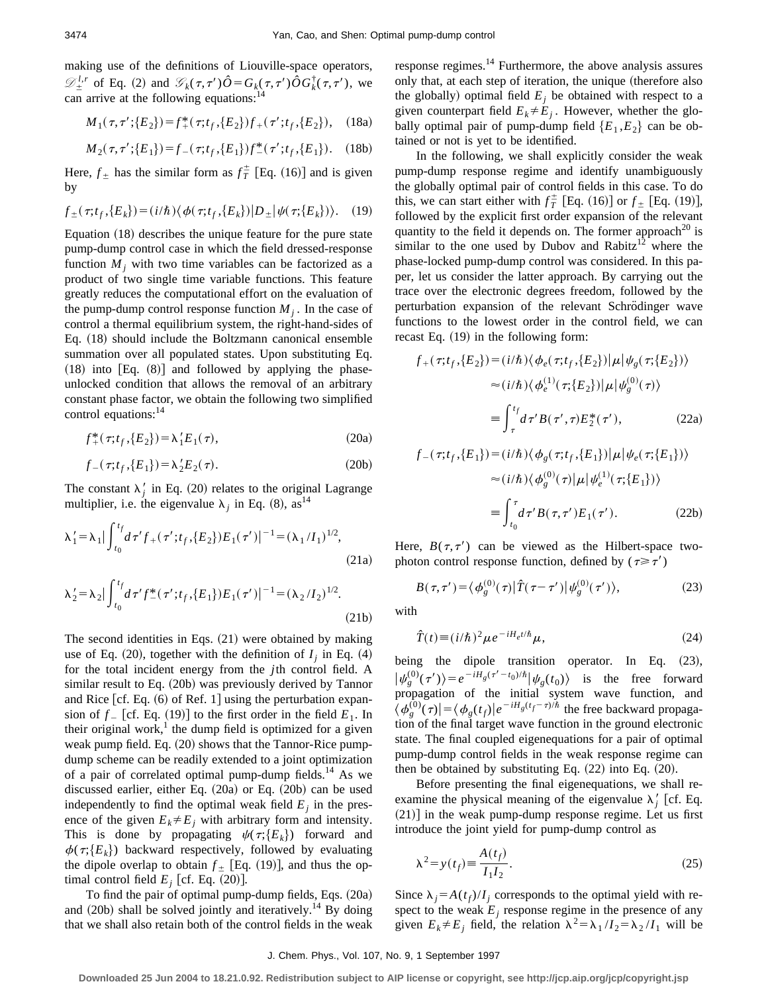making use of the definitions of Liouville-space operators,  $\mathscr{D}_{\pm}^{l,r}$  of Eq. (2) and  $\mathscr{G}_k(\tau,\tau')\hat{O} = G_k(\tau,\tau')\hat{O}G_k^{\dagger}(\tau,\tau')$ , we can arrive at the following equations: $14$ 

$$
M_1(\tau, \tau'; \{E_2\}) = f_+^*(\tau; t_f, \{E_2\}) f_+ (\tau'; t_f, \{E_2\}), \quad (18a)
$$

$$
M_2(\tau, \tau'; \{E_1\}) = f_-(\tau; t_f, \{E_1\}) f_-^*(\tau'; t_f, \{E_1\}). \quad (18b)
$$

Here,  $f_{\pm}$  has the similar form as  $f_{T}^{\pm}$  [Eq. (16)] and is given by

$$
f_{\pm}(\tau; t_f, \{E_k\}) = (i/\hbar) \langle \phi(\tau; t_f, \{E_k\}) | D_{\pm} | \psi(\tau; \{E_k\}) \rangle. \tag{19}
$$

Equation  $(18)$  describes the unique feature for the pure state pump-dump control case in which the field dressed-response function  $M_i$ , with two time variables can be factorized as a product of two single time variable functions. This feature greatly reduces the computational effort on the evaluation of the pump-dump control response function  $M_i$ . In the case of control a thermal equilibrium system, the right-hand-sides of Eq.  $(18)$  should include the Boltzmann canonical ensemble summation over all populated states. Upon substituting Eq.  $(18)$  into  $[Eq. (8)]$  and followed by applying the phaseunlocked condition that allows the removal of an arbitrary constant phase factor, we obtain the following two simplified control equations:<sup>14</sup>

$$
f_{+}^{*}(\tau;t_{f},\{E_{2}\}) = \lambda_{1}'E_{1}(\tau), \qquad (20a)
$$

$$
f_{-}(\tau; t_f, \{E_1\}) = \lambda_2' E_2(\tau). \tag{20b}
$$

The constant  $\lambda'_j$  in Eq. (20) relates to the original Lagrange multiplier, i.e. the eigenvalue  $\lambda_i$  in Eq. (8), as<sup>14</sup>

$$
\lambda_1' = \lambda_1 |\int_{t_0}^{t_f} d\tau' f_+(\tau'; t_f, \{E_2\}) E_1(\tau')|^{-1} = (\lambda_1 / I_1)^{1/2},
$$
\n(21a)

$$
\lambda_2' = \lambda_2 |\int_{t_0}^{t_f} d\tau' f_-^*(\tau'; t_f, \{E_1\}) E_1(\tau')|^{-1} = (\lambda_2 / I_2)^{1/2}.
$$
\n(21b)

The second identities in Eqs.  $(21)$  were obtained by making use of Eq.  $(20)$ , together with the definition of  $I_i$  in Eq.  $(4)$ for the total incident energy from the *j*th control field. A similar result to Eq.  $(20b)$  was previously derived by Tannor and Rice  $\lceil$  cf. Eq. (6) of Ref. 1 $\rceil$  using the perturbation expansion of  $f_{-}$  [cf. Eq. (19)] to the first order in the field  $E_1$ . In their original work, $\frac{1}{1}$  the dump field is optimized for a given weak pump field. Eq.  $(20)$  shows that the Tannor-Rice pumpdump scheme can be readily extended to a joint optimization of a pair of correlated optimal pump-dump fields.<sup>14</sup> As we discussed earlier, either Eq.  $(20a)$  or Eq.  $(20b)$  can be used independently to find the optimal weak field  $E_i$  in the presence of the given  $E_k \neq E_j$  with arbitrary form and intensity. This is done by propagating  $\psi(\tau;\{E_k\})$  forward and  $\phi(\tau;\{E_k\})$  backward respectively, followed by evaluating the dipole overlap to obtain  $f_{\pm}$  [Eq. (19)], and thus the optimal control field  $E_i$  [cf. Eq.  $(20)$ ].

To find the pair of optimal pump-dump fields, Eqs.  $(20a)$ and  $(20b)$  shall be solved jointly and iteratively.<sup>14</sup> By doing that we shall also retain both of the control fields in the weak response regimes. $^{14}$  Furthermore, the above analysis assures only that, at each step of iteration, the unique (therefore also the globally) optimal field  $E_i$  be obtained with respect to a given counterpart field  $E_k \neq E_i$ . However, whether the globally optimal pair of pump-dump field  ${E_1, E_2}$  can be obtained or not is yet to be identified.

In the following, we shall explicitly consider the weak pump-dump response regime and identify unambiguously the globally optimal pair of control fields in this case. To do this, we can start either with  $f_T^{\pm}$  [Eq. (16)] or  $f_{\pm}$  [Eq. (19)], followed by the explicit first order expansion of the relevant quantity to the field it depends on. The former approach<sup>20</sup> is similar to the one used by Dubov and Rabitz<sup>12</sup> where the phase-locked pump-dump control was considered. In this paper, let us consider the latter approach. By carrying out the trace over the electronic degrees freedom, followed by the perturbation expansion of the relevant Schrödinger wave functions to the lowest order in the control field, we can recast Eq.  $(19)$  in the following form:

$$
f_{+}(\tau; t_{f}, \{E_{2}\}) = (i/\hbar) \langle \phi_{e}(\tau; t_{f}, \{E_{2}\}) | \mu | \psi_{g}(\tau; \{E_{2}\}) \rangle
$$

$$
\approx (i/\hbar) \langle \phi_{e}^{(1)}(\tau; \{E_{2}\}) | \mu | \psi_{g}^{(0)}(\tau) \rangle
$$

$$
\equiv \int_{\tau}^{t_{f}} d\tau' B(\tau', \tau) E_{2}^{*}(\tau'), \qquad (22a)
$$

$$
f_{-}(\tau; t_{f}, \{E_{1}\}) = (i/\hbar) \langle \phi_{g}(\tau; t_{f}, \{E_{1}\}) | \mu | \psi_{e}(\tau; \{E_{1}\}) \rangle
$$

$$
\approx (i/\hbar) \langle \phi_{g}^{(0)}(\tau) | \mu | \psi_{e}^{(1)}(\tau; \{E_{1}\}) \rangle
$$

$$
\equiv \int_{t_{0}}^{\tau} d\tau' B(\tau, \tau') E_{1}(\tau'). \qquad (22b)
$$

Here,  $B(\tau, \tau')$  can be viewed as the Hilbert-space twophoton control response function, defined by  $(\tau \geq \tau')$ 

$$
B(\tau,\tau') = \langle \phi_g^{(0)}(\tau) | \hat{T}(\tau-\tau') | \psi_g^{(0)}(\tau') \rangle, \tag{23}
$$

with

$$
\hat{T}(t) \equiv (i/\hbar)^2 \mu e^{-iH_e t/\hbar} \mu,
$$
\n(24)

being the dipole transition operator. In Eq. (23),  $|\psi_g^{(0)}(\tau')\rangle = e^{-iH_g(\tau'-t_0)/\hbar}|\psi_g(t_0)\rangle$  is the free forward propagation of the initial system wave function, and  $\langle \phi_g^{(0)}(\tau) | = \langle \phi_g(t_f) | e^{-iH_g(t_f - \tau)/\hbar}$  the free backward propagation of the final target wave function in the ground electronic state. The final coupled eigenequations for a pair of optimal pump-dump control fields in the weak response regime can then be obtained by substituting Eq.  $(22)$  into Eq.  $(20)$ .

Before presenting the final eigenequations, we shall reexamine the physical meaning of the eigenvalue  $\lambda_j$ <sup>'</sup> [cf. Eq.  $(21)$ ] in the weak pump-dump response regime. Let us first introduce the joint yield for pump-dump control as

$$
\lambda^2 = y(t_f) \equiv \frac{A(t_f)}{I_1 I_2}.
$$
\n(25)

Since  $\lambda_i = A(t_f)/I_i$  corresponds to the optimal yield with respect to the weak  $E_j$  response regime in the presence of any given  $E_k \neq E_j$  field, the relation  $\lambda^2 = \lambda_1 / I_2 = \lambda_2 / I_1$  will be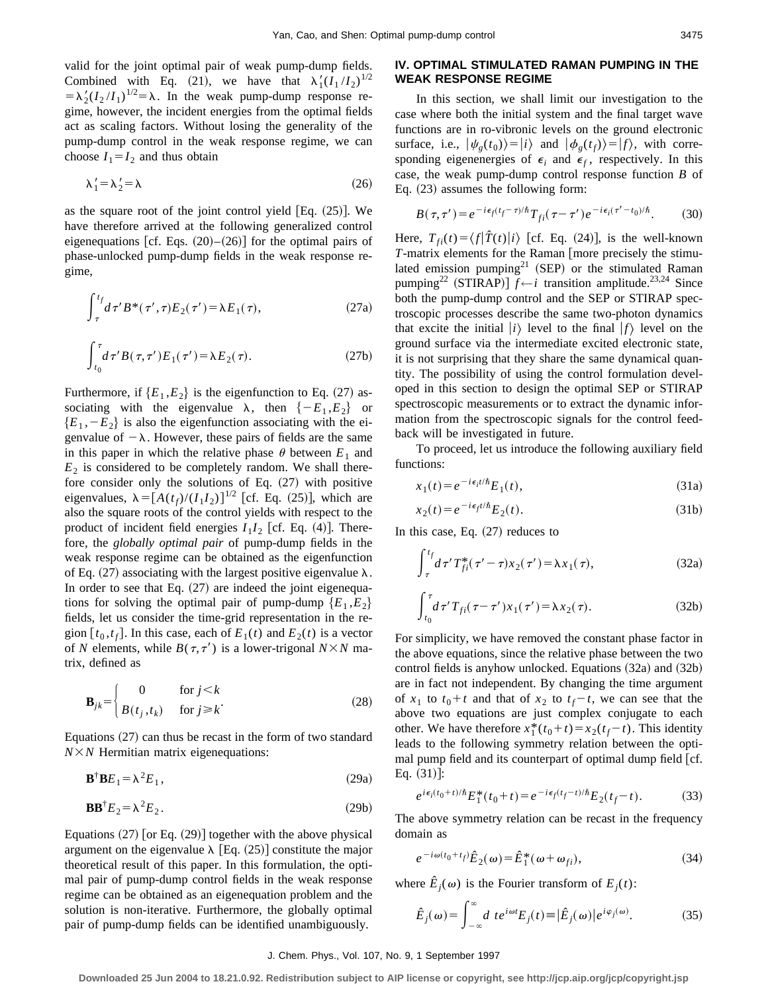valid for the joint optimal pair of weak pump-dump fields. Combined with Eq. (21), we have that  $\lambda'_1(I_1/I_2)^{1/2}$  $=\lambda_2'(I_2/I_1)^{1/2}=\lambda$ . In the weak pump-dump response regime, however, the incident energies from the optimal fields act as scaling factors. Without losing the generality of the pump-dump control in the weak response regime, we can choose  $I_1 = I_2$  and thus obtain

$$
\lambda_1' = \lambda_2' = \lambda \tag{26}
$$

as the square root of the joint control yield  $|Eq. (25)|$ . We have therefore arrived at the following generalized control eigenequations [cf. Eqs.  $(20)$ – $(26)$ ] for the optimal pairs of phase-unlocked pump-dump fields in the weak response regime,

$$
\int_{\tau}^{t_f} d\tau' B^*(\tau', \tau) E_2(\tau') = \lambda E_1(\tau), \qquad (27a)
$$

$$
\int_{t_0}^{\tau} d\tau' B(\tau, \tau') E_1(\tau') = \lambda E_2(\tau). \tag{27b}
$$

Furthermore, if  ${E_1, E_2}$  is the eigenfunction to Eq. (27) associating with the eigenvalue  $\lambda$ , then  $\{-E_1, E_2\}$  or  ${E_1, -E_2}$  is also the eigenfunction associating with the eigenvalue of  $-\lambda$ . However, these pairs of fields are the same in this paper in which the relative phase  $\theta$  between  $E_1$  and  $E_2$  is considered to be completely random. We shall therefore consider only the solutions of Eq.  $(27)$  with positive eigenvalues,  $\lambda = [A(t_f)/(I_1 I_2)]^{1/2}$  [cf. Eq. (25)], which are also the square roots of the control yields with respect to the product of incident field energies  $I_1I_2$  [cf. Eq. (4)]. Therefore, the *globally optimal pair* of pump-dump fields in the weak response regime can be obtained as the eigenfunction of Eq. (27) associating with the largest positive eigenvalue  $\lambda$ . In order to see that Eq.  $(27)$  are indeed the joint eigenequations for solving the optimal pair of pump-dump  ${E_1, E_2}$ fields, let us consider the time-grid representation in the region  $[t_0, t_f]$ . In this case, each of  $E_1(t)$  and  $E_2(t)$  is a vector of *N* elements, while  $B(\tau, \tau')$  is a lower-trigonal  $N \times N$  matrix, defined as

$$
\mathbf{B}_{jk} = \begin{cases} 0 & \text{for } j < k \\ B(t_j, t_k) & \text{for } j \ge k \end{cases}
$$
 (28)

Equations  $(27)$  can thus be recast in the form of two standard  $N \times N$  Hermitian matrix eigenequations:

$$
\mathbf{B}^{\dagger}\mathbf{B}E_1 = \lambda^2 E_1,\tag{29a}
$$

$$
\mathbf{B}\mathbf{B}^{\dagger}E_2 = \lambda^2 E_2. \tag{29b}
$$

Equations  $(27)$  [or Eq.  $(29)$ ] together with the above physical argument on the eigenvalue  $\lambda$  [Eq. (25)] constitute the major theoretical result of this paper. In this formulation, the optimal pair of pump-dump control fields in the weak response regime can be obtained as an eigenequation problem and the solution is non-iterative. Furthermore, the globally optimal pair of pump-dump fields can be identified unambiguously.

## **IV. OPTIMAL STIMULATED RAMAN PUMPING IN THE WEAK RESPONSE REGIME**

In this section, we shall limit our investigation to the case where both the initial system and the final target wave functions are in ro-vibronic levels on the ground electronic surface, i.e.,  $|\psi_{\varrho}(t_0)\rangle=|i\rangle$  and  $|\phi_{\varrho}(t_f)\rangle=|f\rangle$ , with corresponding eigenenergies of  $\epsilon_i$  and  $\epsilon_f$ , respectively. In this case, the weak pump-dump control response function *B* of Eq.  $(23)$  assumes the following form:

$$
B(\tau,\tau') = e^{-i\epsilon_f(t_f-\tau)/\hbar}T_{fi}(\tau-\tau')e^{-i\epsilon_i(\tau'-t_0)/\hbar}.\tag{30}
$$

Here,  $T_{fi}(t) = \langle f | \hat{T}(t) | i \rangle$  [cf. Eq. (24)], is the well-known *T*-matrix elements for the Raman [more precisely the stimulated emission pumping<sup>21</sup> (SEP) or the stimulated Raman pumping<sup>22</sup> (STIRAP)]  $\tilde{f} \leftarrow i$  transition amplitude.<sup>23,24</sup> Since both the pump-dump control and the SEP or STIRAP spectroscopic processes describe the same two-photon dynamics that excite the initial  $|i\rangle$  level to the final  $|f\rangle$  level on the ground surface via the intermediate excited electronic state, it is not surprising that they share the same dynamical quantity. The possibility of using the control formulation developed in this section to design the optimal SEP or STIRAP spectroscopic measurements or to extract the dynamic information from the spectroscopic signals for the control feedback will be investigated in future.

To proceed, let us introduce the following auxiliary field functions:

$$
x_1(t) = e^{-i\epsilon_i t/\hbar} E_1(t),\tag{31a}
$$

$$
x_2(t) = e^{-i\epsilon_f t/\hbar} E_2(t). \tag{31b}
$$

In this case, Eq.  $(27)$  reduces to

$$
\int_{\tau}^{t_f} d\tau' T_{fi}^*(\tau'-\tau)x_2(\tau') = \lambda x_1(\tau),
$$
\n(32a)

$$
\int_{t_0}^{\tau} d\tau' T_{fi}(\tau - \tau') x_1(\tau') = \lambda x_2(\tau). \tag{32b}
$$

For simplicity, we have removed the constant phase factor in the above equations, since the relative phase between the two control fields is anyhow unlocked. Equations  $(32a)$  and  $(32b)$ are in fact not independent. By changing the time argument of  $x_1$  to  $t_0 + t$  and that of  $x_2$  to  $t_f - t$ , we can see that the above two equations are just complex conjugate to each other. We have therefore  $x_1^*(t_0 + t) = x_2(t_f - t)$ . This identity leads to the following symmetry relation between the optimal pump field and its counterpart of optimal dump field  $[cf.]$ Eq.  $(31)!$ :

$$
e^{i\epsilon_i(t_0+t)/\hbar}E_1^*(t_0+t) = e^{-i\epsilon_f(t_f-t)/\hbar}E_2(t_f-t).
$$
 (33)

The above symmetry relation can be recast in the frequency domain as

$$
e^{-i\omega(t_0+t_f)}\hat{E}_2(\omega) = \hat{E}_1^*(\omega + \omega_{fi}),\tag{34}
$$

where  $\hat{E}_i(\omega)$  is the Fourier transform of  $E_i(t)$ :

$$
\hat{E}_j(\omega) = \int_{-\infty}^{\infty} d t e^{i\omega t} E_j(t) = |\hat{E}_j(\omega)| e^{i\varphi_j(\omega)}.
$$
 (35)

**Downloaded 25 Jun 2004 to 18.21.0.92. Redistribution subject to AIP license or copyright, see http://jcp.aip.org/jcp/copyright.jsp**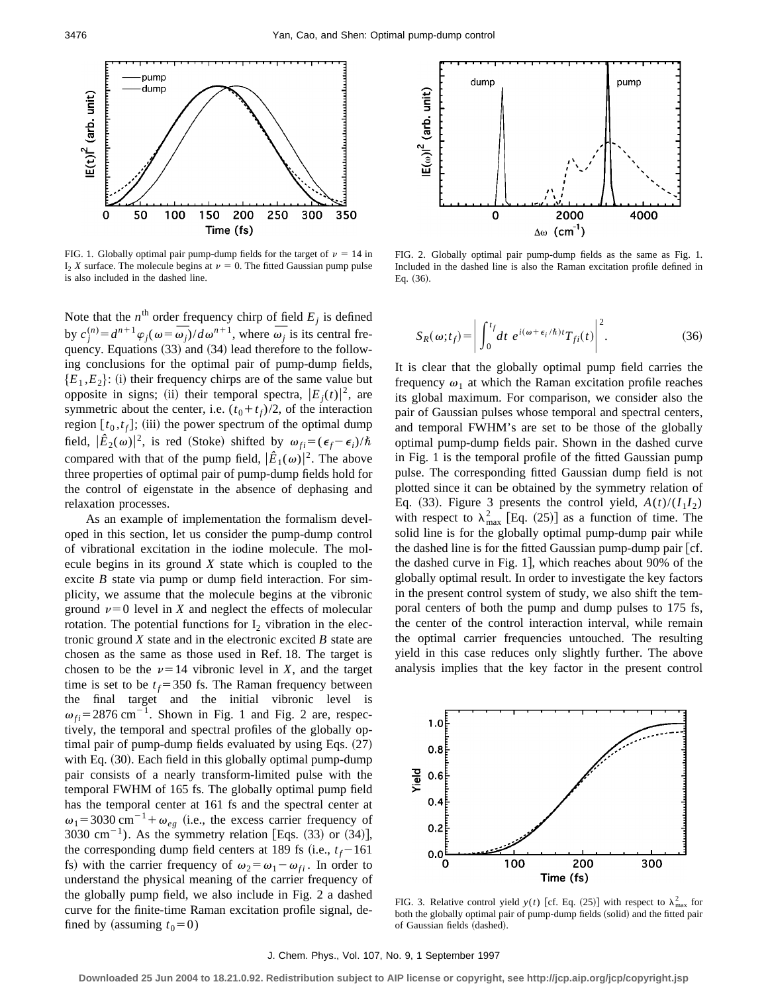

FIG. 1. Globally optimal pair pump-dump fields for the target of  $\nu = 14$  in  $I_2$  *X* surface. The molecule begins at  $\nu = 0$ . The fitted Gaussian pump pulse is also included in the dashed line.

Note that the  $n^{\text{th}}$  order frequency chirp of field  $E_j$  is defined by  $c_j^{(n)} = d^{n+1}\varphi_j(\omega = \overline{\omega}_j)/d\omega^{n+1}$ , where  $\overline{\omega}_j$  is its central frequency. Equations  $(33)$  and  $(34)$  lead therefore to the following conclusions for the optimal pair of pump-dump fields,  ${E_1, E_2}$ : (i) their frequency chirps are of the same value but opposite in signs; (ii) their temporal spectra,  $|E_j(t)|^2$ , are symmetric about the center, i.e.  $(t_0 + t_f)/2$ , of the interaction region  $[t_0, t_f]$ ; (iii) the power spectrum of the optimal dump field,  $|\hat{E}_2(\omega)|^2$ , is red (Stoke) shifted by  $\omega_{fi} = (\epsilon_f - \epsilon_i)/\hbar$ compared with that of the pump field,  $|\hat{E}_1(\omega)|^2$ . The above three properties of optimal pair of pump-dump fields hold for the control of eigenstate in the absence of dephasing and relaxation processes.

As an example of implementation the formalism developed in this section, let us consider the pump-dump control of vibrational excitation in the iodine molecule. The molecule begins in its ground *X* state which is coupled to the excite *B* state via pump or dump field interaction. For simplicity, we assume that the molecule begins at the vibronic ground  $\nu=0$  level in *X* and neglect the effects of molecular rotation. The potential functions for  $I_2$  vibration in the electronic ground *X* state and in the electronic excited *B* state are chosen as the same as those used in Ref. 18. The target is chosen to be the  $\nu=14$  vibronic level in *X*, and the target time is set to be  $t_f$ =350 fs. The Raman frequency between the final target and the initial vibronic level is  $\omega_{fi}$ =2876 cm<sup>-1</sup>. Shown in Fig. 1 and Fig. 2 are, respectively, the temporal and spectral profiles of the globally optimal pair of pump-dump fields evaluated by using Eqs.  $(27)$ with Eq. (30). Each field in this globally optimal pump-dump pair consists of a nearly transform-limited pulse with the temporal FWHM of 165 fs. The globally optimal pump field has the temporal center at 161 fs and the spectral center at  $\omega_1$ =3030 cm<sup>-1</sup>+ $\omega_{eg}$  (i.e., the excess carrier frequency of 3030 cm<sup>-1</sup>). As the symmetry relation [Eqs.  $(33)$  or  $(34)$ ], the corresponding dump field centers at 189 fs (i.e.,  $t_f$ -161 fs) with the carrier frequency of  $\omega_2 = \omega_1 - \omega_{fi}$ . In order to understand the physical meaning of the carrier frequency of the globally pump field, we also include in Fig. 2 a dashed curve for the finite-time Raman excitation profile signal, defined by (assuming  $t_0=0$ )



FIG. 2. Globally optimal pair pump-dump fields as the same as Fig. 1. Included in the dashed line is also the Raman excitation profile defined in Eq.  $(36)$ .

$$
S_R(\omega; t_f) = \left| \int_0^{t_f} dt \ e^{i(\omega + \epsilon_i/\hbar)t} T_{fi}(t) \right|^2.
$$
 (36)

It is clear that the globally optimal pump field carries the frequency  $\omega_1$  at which the Raman excitation profile reaches its global maximum. For comparison, we consider also the pair of Gaussian pulses whose temporal and spectral centers, and temporal FWHM's are set to be those of the globally optimal pump-dump fields pair. Shown in the dashed curve in Fig. 1 is the temporal profile of the fitted Gaussian pump pulse. The corresponding fitted Gaussian dump field is not plotted since it can be obtained by the symmetry relation of Eq. (33). Figure 3 presents the control yield,  $A(t)/(I_1I_2)$ with respect to  $\lambda_{\text{max}}^2$  [Eq. (25)] as a function of time. The solid line is for the globally optimal pump-dump pair while the dashed line is for the fitted Gaussian pump-dump pair  $[cf.$ the dashed curve in Fig. 1, which reaches about  $90\%$  of the globally optimal result. In order to investigate the key factors in the present control system of study, we also shift the temporal centers of both the pump and dump pulses to 175 fs, the center of the control interaction interval, while remain the optimal carrier frequencies untouched. The resulting yield in this case reduces only slightly further. The above analysis implies that the key factor in the present control



FIG. 3. Relative control yield  $y(t)$  [cf. Eq. (25)] with respect to  $\lambda_{\text{max}}^2$  for both the globally optimal pair of pump-dump fields (solid) and the fitted pair of Gaussian fields (dashed).